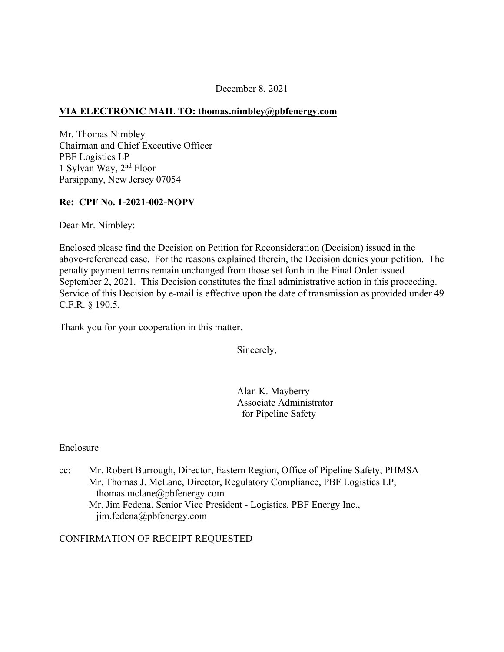### December 8, 2021

## **VIA ELECTRONIC MAIL TO: [thomas.nimbley@pbfenergy.com](mailto:thomas.nimbley@pbfenergy.com)**

Mr. Thomas Nimbley Chairman and Chief Executive Officer PBF Logistics LP 1 Sylvan Way, 2nd Floor Parsippany, New Jersey 07054

## **Re: CPF No. 1-2021-002-NOPV**

Dear Mr. Nimbley:

Enclosed please find the Decision on Petition for Reconsideration (Decision) issued in the above-referenced case. For the reasons explained therein, the Decision denies your petition. The penalty payment terms remain unchanged from those set forth in the Final Order issued September 2, 2021. This Decision constitutes the final administrative action in this proceeding. Service of this Decision by e-mail is effective upon the date of transmission as provided under 49 C.F.R. § 190.5.

Thank you for your cooperation in this matter.

Sincerely,

Alan K. Mayberry Associate Administrator for Pipeline Safety

#### Enclosure

cc: Mr. Robert Burrough, Director, Eastern Region, Office of Pipeline Safety, PHMSA Mr. Thomas J. McLane, Director, Regulatory Compliance, PBF Logistics LP, [thomas.mclane@pbfenergy.com](mailto:thomas.mclane@pbfenergy.com)  Mr. Jim Fedena, Senior Vice President - Logistics, PBF Energy Inc., [jim.fedena@pbfenergy.com](mailto:jim.fedena@pbfenergy.com)

#### CONFIRMATION OF RECEIPT REQUESTED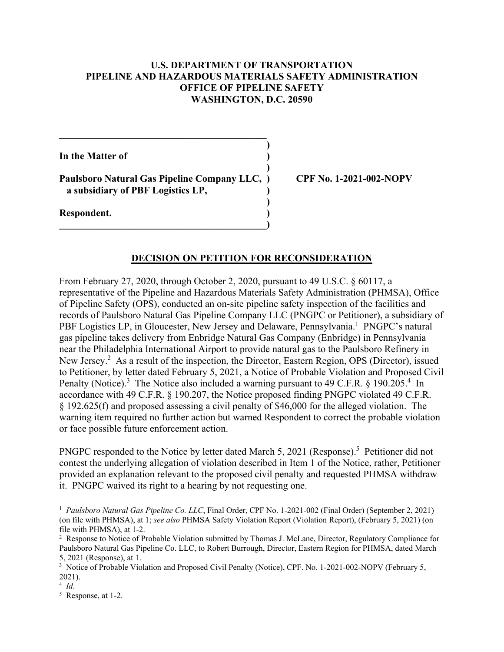### **U.S. DEPARTMENT OF TRANSPORTATION PIPELINE AND HAZARDOUS MATERIALS SAFETY ADMINISTRATION OFFICE OF PIPELINE SAFETY WASHINGTON, D.C. 20590**

**)** 

**)** 

**)** 

**In the Matter of )** 

**Paulsboro Natural Gas Pipeline Company LLC, ) CPF No. 1-2021-002-NOPV a subsidiary of PBF Logistics LP, )** 

**\_\_\_\_\_\_\_\_\_\_\_\_\_\_\_\_\_\_\_\_\_\_\_\_\_\_\_\_\_\_\_\_\_\_\_\_\_\_\_\_\_\_)** 

 $\mathcal{L} = \{ \mathcal{L} \}$ 

**Respondent. )** 

#### **DECISION ON PETITION FOR RECONSIDERATION**

From February 27, 2020, through October 2, 2020, pursuant to 49 U.S.C. § 60117, a representative of the Pipeline and Hazardous Materials Safety Administration (PHMSA), Office of Pipeline Safety (OPS), conducted an on-site pipeline safety inspection of the facilities and records of Paulsboro Natural Gas Pipeline Company LLC (PNGPC or Petitioner), a subsidiary of PBF Logistics LP, in Gloucester, New Jersey and Delaware, Pennsylvania.<sup>1</sup> PNGPC's natural gas pipeline takes delivery from Enbridge Natural Gas Company (Enbridge) in Pennsylvania near the Philadelphia International Airport to provide natural gas to the Paulsboro Refinery in New Jersey.<sup>2</sup> As a result of the inspection, the Director, Eastern Region, OPS (Director), issued to Petitioner, by letter dated February 5, 2021, a Notice of Probable Violation and Proposed Civil Penalty (Notice).<sup>3</sup> The Notice also included a warning pursuant to 49 C.F.R. § 190.205.<sup>4</sup> In accordance with 49 C.F.R. § 190.207, the Notice proposed finding PNGPC violated 49 C.F.R. § 192.625(f) and proposed assessing a civil penalty of \$46,000 for the alleged violation. The warning item required no further action but warned Respondent to correct the probable violation or face possible future enforcement action.

PNGPC responded to the Notice by letter dated March 5, 2021 (Response).<sup>5</sup> Petitioner did not contest the underlying allegation of violation described in Item 1 of the Notice, rather, Petitioner provided an explanation relevant to the proposed civil penalty and requested PHMSA withdraw it. PNGPC waived its right to a hearing by not requesting one.

 <sup>1</sup>*Paulsboro Natural Gas Pipeline Co. LLC*, Final Order, CPF No. 1-2021-002 (Final Order) (September 2, 2021) (on file with PHMSA), at 1; *see also* PHMSA Safety Violation Report (Violation Report), (February 5, 2021) (on file with PHMSA), at 1-2.

<sup>2</sup> Response to Notice of Probable Violation submitted by Thomas J. McLane, Director, Regulatory Compliance for Paulsboro Natural Gas Pipeline Co. LLC, to Robert Burrough, Director, Eastern Region for PHMSA, dated March 5, 2021 (Response), at 1.

<sup>&</sup>lt;sup>3</sup> Notice of Probable Violation and Proposed Civil Penalty (Notice), CPF. No. 1-2021-002-NOPV (February 5, 2021).

 $\frac{4}{5}$  *Id*.

 Response, at 1-2.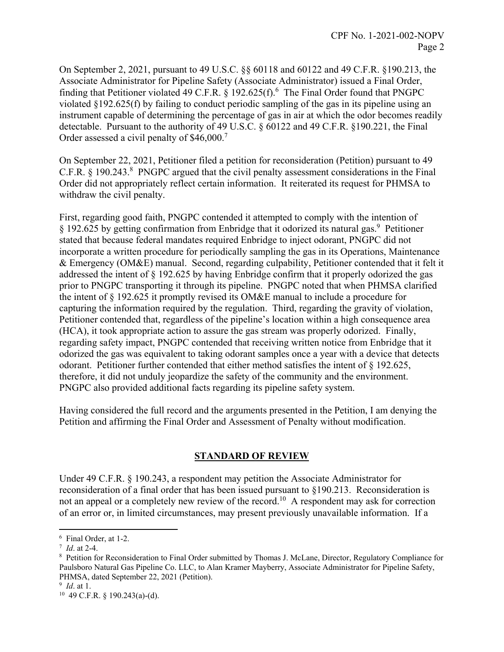On September 2, 2021, pursuant to 49 U.S.C. §§ 60118 and 60122 and 49 C.F.R. §190.213, the Associate Administrator for Pipeline Safety (Associate Administrator) issued a Final Order, finding that Petitioner violated 49 C.F.R.  $\S$  192.625(f).<sup>6</sup> The Final Order found that PNGPC violated §192.625(f) by failing to conduct periodic sampling of the gas in its pipeline using an instrument capable of determining the percentage of gas in air at which the odor becomes readily detectable. Pursuant to the authority of 49 U.S.C. § 60122 and 49 C.F.R. §190.221, the Final Order assessed a civil penalty of \$46,000.<sup>7</sup>

On September 22, 2021, Petitioner filed a petition for reconsideration (Petition) pursuant to 49 C.F.R.  $\S$  190.243.<sup>8</sup> PNGPC argued that the civil penalty assessment considerations in the Final Order did not appropriately reflect certain information. It reiterated its request for PHMSA to withdraw the civil penalty.

First, regarding good faith, PNGPC contended it attempted to comply with the intention of § 192.625 by getting confirmation from Enbridge that it odorized its natural gas.9 Petitioner stated that because federal mandates required Enbridge to inject odorant, PNGPC did not incorporate a written procedure for periodically sampling the gas in its Operations, Maintenance & Emergency (OM&E) manual. Second, regarding culpability, Petitioner contended that it felt it addressed the intent of § 192.625 by having Enbridge confirm that it properly odorized the gas prior to PNGPC transporting it through its pipeline. PNGPC noted that when PHMSA clarified the intent of § 192.625 it promptly revised its OM&E manual to include a procedure for capturing the information required by the regulation. Third, regarding the gravity of violation, Petitioner contended that, regardless of the pipeline's location within a high consequence area (HCA), it took appropriate action to assure the gas stream was properly odorized. Finally, regarding safety impact, PNGPC contended that receiving written notice from Enbridge that it odorized the gas was equivalent to taking odorant samples once a year with a device that detects odorant. Petitioner further contended that either method satisfies the intent of § 192.625, therefore, it did not unduly jeopardize the safety of the community and the environment. PNGPC also provided additional facts regarding its pipeline safety system.

Having considered the full record and the arguments presented in the Petition, I am denying the Petition and affirming the Final Order and Assessment of Penalty without modification.

#### **STANDARD OF REVIEW**

Under 49 C.F.R. § 190.243, a respondent may petition the Associate Administrator for reconsideration of a final order that has been issued pursuant to §190.213. Reconsideration is not an appeal or a completely new review of the record.<sup>10</sup> A respondent may ask for correction of an error or, in limited circumstances, may present previously unavailable information. If a

<sup>6</sup> Final Order, at 1-2.

 $\frac{7}{8}$  *Id.* at 2-4.

Petition for Reconsideration to Final Order submitted by Thomas J. McLane, Director, Regulatory Compliance for Paulsboro Natural Gas Pipeline Co. LLC, to Alan Kramer Mayberry, Associate Administrator for Pipeline Safety, PHMSA, dated September 22, 2021 (Petition).

 $9$  *Id.* at 1.

<sup>&</sup>lt;sup>10</sup> 49 C.F.R. § 190.243(a)-(d).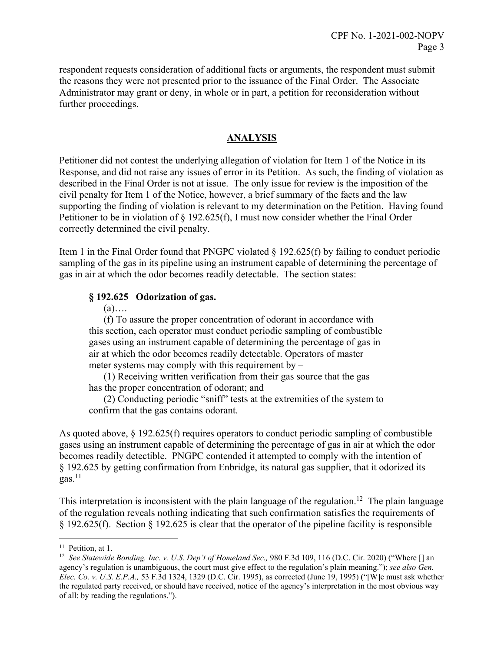respondent requests consideration of additional facts or arguments, the respondent must submit the reasons they were not presented prior to the issuance of the Final Order. The Associate Administrator may grant or deny, in whole or in part, a petition for reconsideration without further proceedings.

# **ANALYSIS**

Petitioner did not contest the underlying allegation of violation for Item 1 of the Notice in its Response, and did not raise any issues of error in its Petition. As such, the finding of violation as described in the Final Order is not at issue. The only issue for review is the imposition of the civil penalty for Item 1 of the Notice, however, a brief summary of the facts and the law supporting the finding of violation is relevant to my determination on the Petition. Having found Petitioner to be in violation of § 192.625(f), I must now consider whether the Final Order correctly determined the civil penalty.

Item 1 in the Final Order found that PNGPC violated § 192.625(f) by failing to conduct periodic sampling of the gas in its pipeline using an instrument capable of determining the percentage of gas in air at which the odor becomes readily detectable. The section states:

## **§ 192.625 Odorization of gas.**

#### $(a)$ ….

(f) To assure the proper concentration of odorant in accordance with this section, each operator must conduct periodic sampling of combustible gases using an instrument capable of determining the percentage of gas in air at which the odor becomes readily detectable. Operators of master meter systems may comply with this requirement by –

(1) Receiving written verification from their gas source that the gas has the proper concentration of odorant; and

(2) Conducting periodic "sniff" tests at the extremities of the system to confirm that the gas contains odorant.

becomes readily detectible. PNGPC contended it attempted to comply with the intention of § 192.625 by getting confirmation from Enbridge, its natural gas supplier, that it odorized its  $gas.<sup>11</sup>$ As quoted above, § 192.625(f) requires operators to conduct periodic sampling of combustible gases using an instrument capable of determining the percentage of gas in air at which the odor

This interpretation is inconsistent with the plain language of the regulation.<sup>12</sup> The plain language of the regulation reveals nothing indicating that such confirmation satisfies the requirements of § 192.625(f). Section § 192.625 is clear that the operator of the pipeline facility is responsible

 $\overline{a}$ <sup>11</sup> Petition, at 1.

<sup>&</sup>lt;sup>12</sup> See Statewide Bonding, Inc. v. U.S. Dep't of Homeland Sec., 980 F.3d 109, 116 (D.C. Cir. 2020) ("Where [] an  agency's regulation is unambiguous, the court must give effect to the regulation's plain meaning."); *see also Gen. Elec. Co. v. U.S. E.P.A.,* 53 F.3d 1324, 1329 (D.C. Cir. 1995), as corrected (June 19, 1995) ("[W]e must ask whether the regulated party received, or should have received, notice of the agency's interpretation in the most obvious way of all: by reading the regulations.").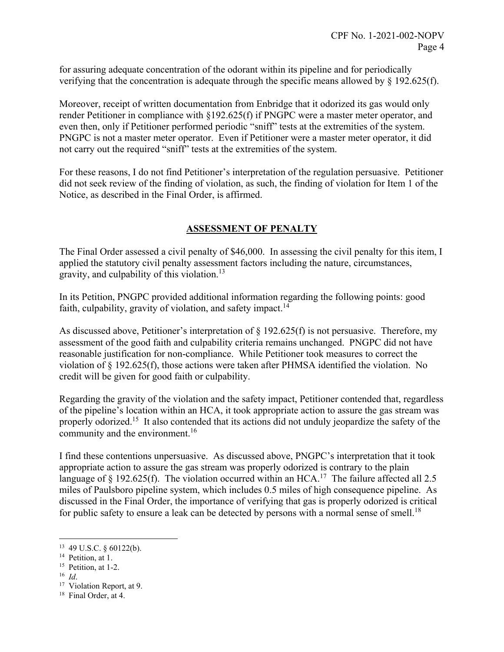for assuring adequate concentration of the odorant within its pipeline and for periodically verifying that the concentration is adequate through the specific means allowed by § 192.625(f).

Moreover, receipt of written documentation from Enbridge that it odorized its gas would only render Petitioner in compliance with §192.625(f) if PNGPC were a master meter operator, and even then, only if Petitioner performed periodic "sniff" tests at the extremities of the system. PNGPC is not a master meter operator. Even if Petitioner were a master meter operator, it did not carry out the required "sniff" tests at the extremities of the system.

For these reasons, I do not find Petitioner's interpretation of the regulation persuasive. Petitioner did not seek review of the finding of violation, as such, the finding of violation for Item 1 of the Notice, as described in the Final Order, is affirmed.

## **ASSESSMENT OF PENALTY**

The Final Order assessed a civil penalty of \$46,000. In assessing the civil penalty for this item, I applied the statutory civil penalty assessment factors including the nature, circumstances, gravity, and culpability of this [violation.13](https://violation.13) 

In its Petition, PNGPC provided additional information regarding the following points: good faith, culpability, gravity of violation, and safety impact.<sup>14</sup>

As discussed above, Petitioner's interpretation of § 192.625(f) is not persuasive. Therefore, my assessment of the good faith and culpability criteria remains unchanged. PNGPC did not have reasonable justification for non-compliance. While Petitioner took measures to correct the violation of § 192.625(f), those actions were taken after PHMSA identified the violation. No credit will be given for good faith or culpability.

Regarding the gravity of the violation and the safety impact, Petitioner contended that, regardless of the pipeline's location within an HCA, it took appropriate action to assure the gas stream was properly odorized.<sup>15</sup> It also contended that its actions did not unduly jeopardize the safety of the community and the environment.<sup>16</sup>

I find these contentions unpersuasive. As discussed above, PNGPC's interpretation that it took appropriate action to assure the gas stream was properly odorized is contrary to the plain language of § 192.625(f). The violation occurred within an HCA.<sup>17</sup> The failure affected all 2.5 miles of Paulsboro pipeline system, which includes 0.5 miles of high consequence pipeline. As discussed in the Final Order, the importance of verifying that gas is properly odorized is critical for public safety to ensure a leak can be detected by persons with a normal sense of [smell.](https://smell.18)<sup>18</sup>

<sup>&</sup>lt;sup>13</sup> 49 U.S.C. § 60122(b).<br><sup>14</sup> Petition, at 1.

<sup>&</sup>lt;sup>15</sup> Petition, at 1-2.

 $^{16}$  *Id.* 

<sup>&</sup>lt;sup>16</sup> *Id.* Violation Report, at 9.<br><sup>17</sup> Violation Report, at 9.

 $18$  Final Order, at 4.